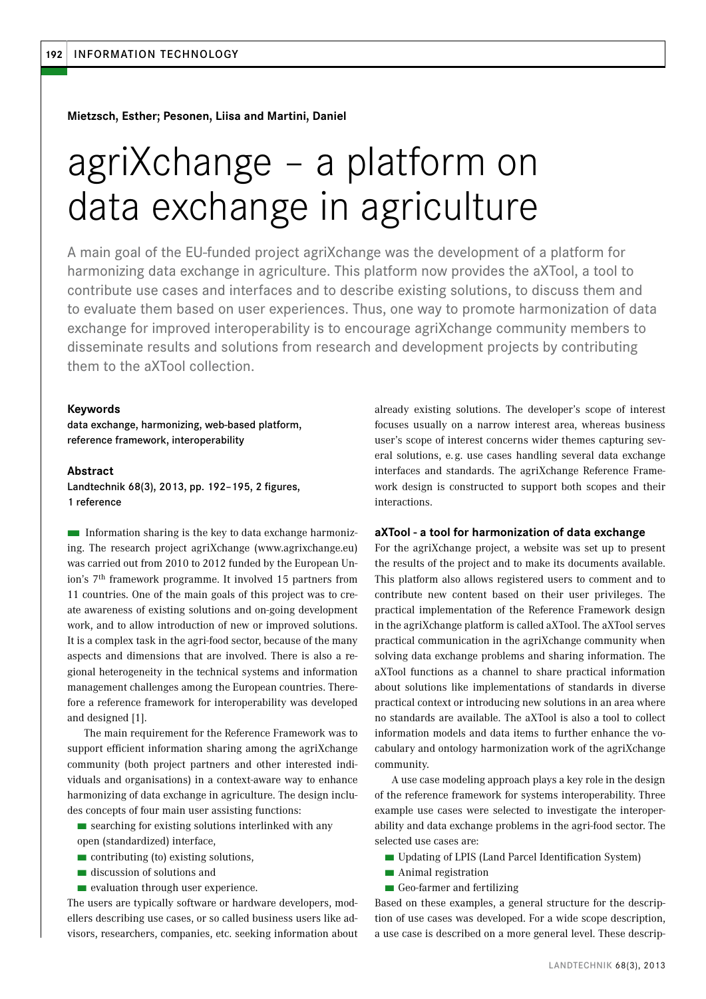**Mietzsch, Esther; Pesonen, Liisa and Martini, Daniel**

# agriXchange – a platform on data exchange in agriculture

A main goal of the EU-funded project agriXchange was the development of a platform for harmonizing data exchange in agriculture. This platform now provides the aXTool, a tool to contribute use cases and interfaces and to describe existing solutions, to discuss them and to evaluate them based on user experiences. Thus, one way to promote harmonization of data exchange for improved interoperability is to encourage agriXchange community members to disseminate results and solutions from research and development projects by contributing them to the aXTool collection.

### **Keywords**

data exchange, harmonizing, web-based platform, reference framework, interoperability

### **Abstract**

Landtechnik 68(3), 2013, pp. 192–195, 2 figures, 1 reference

 $\blacksquare$  Information sharing is the key to data exchange harmonizing. The research project agriXchange (www.agrixchange.eu) was carried out from 2010 to 2012 funded by the European Union's 7th framework programme. It involved 15 partners from 11 countries. One of the main goals of this project was to create awareness of existing solutions and on-going development work, and to allow introduction of new or improved solutions. It is a complex task in the agri-food sector, because of the many aspects and dimensions that are involved. There is also a regional heterogeneity in the technical systems and information management challenges among the European countries. Therefore a reference framework for interoperability was developed and designed [1].

The main requirement for the Reference Framework was to support efficient information sharing among the agriXchange community (both project partners and other interested individuals and organisations) in a context-aware way to enhance harmonizing of data exchange in agriculture. The design includes concepts of four main user assisting functions:

- searching for existing solutions interlinked with any open (standardized) interface,
- contributing (to) existing solutions,
- discussion of solutions and
- evaluation through user experience.

The users are typically software or hardware developers, modellers describing use cases, or so called business users like advisors, researchers, companies, etc. seeking information about already existing solutions. The developer's scope of interest focuses usually on a narrow interest area, whereas business user's scope of interest concerns wider themes capturing several solutions, e. g. use cases handling several data exchange interfaces and standards. The agriXchange Reference Framework design is constructed to support both scopes and their interactions.

### **aXTool - a tool for harmonization of data exchange**

For the agriXchange project, a website was set up to present the results of the project and to make its documents available. This platform also allows registered users to comment and to contribute new content based on their user privileges. The practical implementation of the Reference Framework design in the agriXchange platform is called aXTool. The aXTool serves practical communication in the agriXchange community when solving data exchange problems and sharing information. The aXTool functions as a channel to share practical information about solutions like implementations of standards in diverse practical context or introducing new solutions in an area where no standards are available. The aXTool is also a tool to collect information models and data items to further enhance the vocabulary and ontology harmonization work of the agriXchange community.

A use case modeling approach plays a key role in the design of the reference framework for systems interoperability. Three example use cases were selected to investigate the interoperability and data exchange problems in the agri-food sector. The selected use cases are:

- Updating of LPIS (Land Parcel Identification System)
- Animal registration
- Geo-farmer and fertilizing

Based on these examples, a general structure for the description of use cases was developed. For a wide scope description, a use case is described on a more general level. These descrip-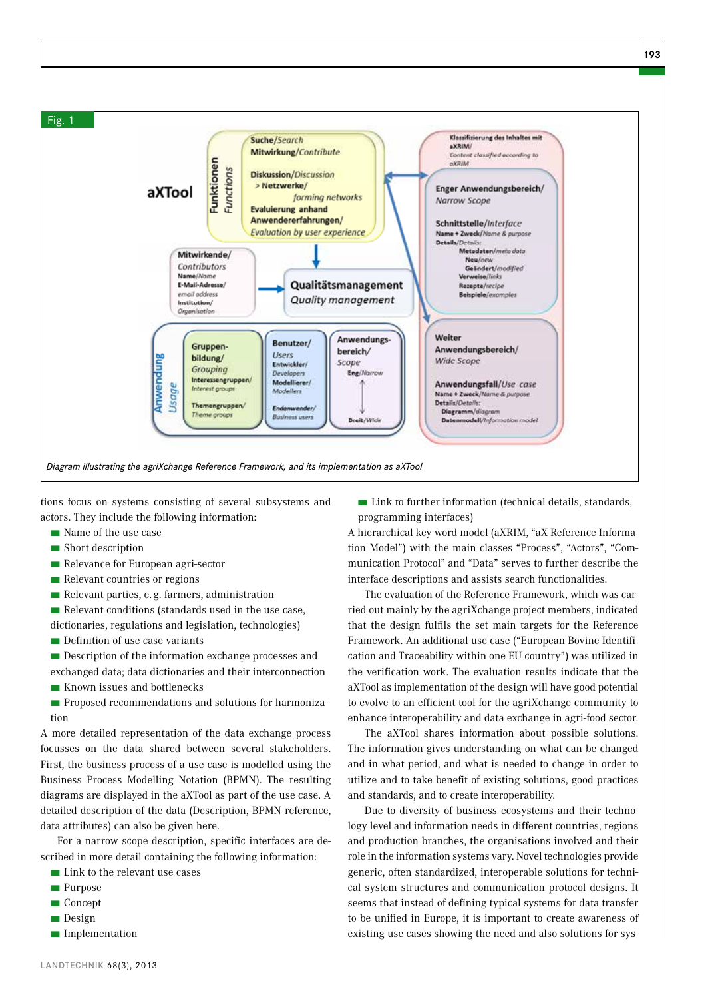

tions focus on systems consisting of several subsystems and actors. They include the following information:

- Name of the use case
- Short description
- Relevance for European agri-sector
- Relevant countries or regions
- Relevant parties, e.g. farmers, administration
- $\blacksquare$  Relevant conditions (standards used in the use case,
- dictionaries, regulations and legislation, technologies)
- Definition of use case variants
- Description of the information exchange processes and exchanged data; data dictionaries and their interconnection
- Known issues and bottlenecks
- Proposed recommendations and solutions for harmonization

A more detailed representation of the data exchange process focusses on the data shared between several stakeholders. First, the business process of a use case is modelled using the Business Process Modelling Notation (BPMN). The resulting diagrams are displayed in the aXTool as part of the use case. A detailed description of the data (Description, BPMN reference, data attributes) can also be given here.

For a narrow scope description, specific interfaces are described in more detail containing the following information:

- Link to the relevant use cases
- Purpose
- Concept
- Design
- Implementation

■ Link to further information (technical details, standards, programming interfaces)

A hierarchical key word model (aXRIM, "aX Reference Information Model") with the main classes "Process", "Actors", "Communication Protocol" and "Data" serves to further describe the interface descriptions and assists search functionalities.

The evaluation of the Reference Framework, which was carried out mainly by the agriXchange project members, indicated that the design fulfils the set main targets for the Reference Framework. An additional use case ("European Bovine Identification and Traceability within one EU country") was utilized in the verification work. The evaluation results indicate that the aXTool as implementation of the design will have good potential to evolve to an efficient tool for the agriXchange community to enhance interoperability and data exchange in agri-food sector.

The aXTool shares information about possible solutions. The information gives understanding on what can be changed and in what period, and what is needed to change in order to utilize and to take benefit of existing solutions, good practices and standards, and to create interoperability.

Due to diversity of business ecosystems and their technology level and information needs in different countries, regions and production branches, the organisations involved and their role in the information systems vary. Novel technologies provide generic, often standardized, interoperable solutions for technical system structures and communication protocol designs. It seems that instead of defining typical systems for data transfer to be unified in Europe, it is important to create awareness of existing use cases showing the need and also solutions for sys-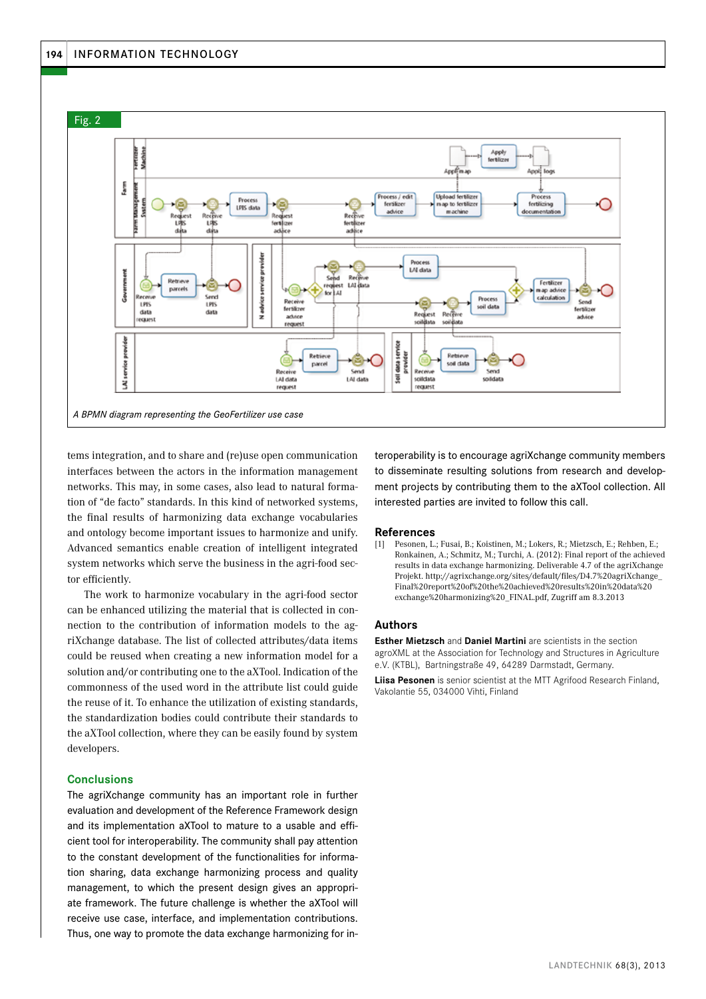

tems integration, and to share and (re)use open communication interfaces between the actors in the information management networks. This may, in some cases, also lead to natural formation of "de facto" standards. In this kind of networked systems, the final results of harmonizing data exchange vocabularies and ontology become important issues to harmonize and unify. Advanced semantics enable creation of intelligent integrated system networks which serve the business in the agri-food sector efficiently.

The work to harmonize vocabulary in the agri-food sector can be enhanced utilizing the material that is collected in connection to the contribution of information models to the agriXchange database. The list of collected attributes/data items could be reused when creating a new information model for a solution and/or contributing one to the aXTool. Indication of the commonness of the used word in the attribute list could guide the reuse of it. To enhance the utilization of existing standards, the standardization bodies could contribute their standards to the aXTool collection, where they can be easily found by system developers.

## **Conclusions**

The agriXchange community has an important role in further evaluation and development of the Reference Framework design and its implementation aXTool to mature to a usable and efficient tool for interoperability. The community shall pay attention to the constant development of the functionalities for information sharing, data exchange harmonizing process and quality management, to which the present design gives an appropriate framework. The future challenge is whether the aXTool will receive use case, interface, and implementation contributions. Thus, one way to promote the data exchange harmonizing for interoperability is to encourage agriXchange community members to disseminate resulting solutions from research and development projects by contributing them to the aXTool collection. All interested parties are invited to follow this call.

#### **References**

[1] Pesonen, L.; Fusai, B.; Koistinen, M.; Lokers, R.; Mietzsch, E.; Rehben, E.; Ronkainen, A.; Schmitz, M.; Turchi, A. (2012): Final report of the achieved results in data exchange harmonizing. Deliverable 4.7 of the agriXchange Projekt. http://agrixchange.org/sites/default/files/D4.7%20agriXchange\_ Final%20report%20of%20the%20achieved%20results%20in%20data%20 exchange%20harmonizing%20\_FINAL.pdf, Zugriff am 8.3.2013

#### **Authors**

**Esther Mietzsch** and **Daniel Martini** are scientists in the section agroXML at the Association for Technology and Structures in Agriculture e.V. (KTBL), Bartningstraße 49, 64289 Darmstadt, Germany.

**Liisa Pesonen** is senior scientist at the MTT Agrifood Research Finland, Vakolantie 55, 034000 Vihti, Finland